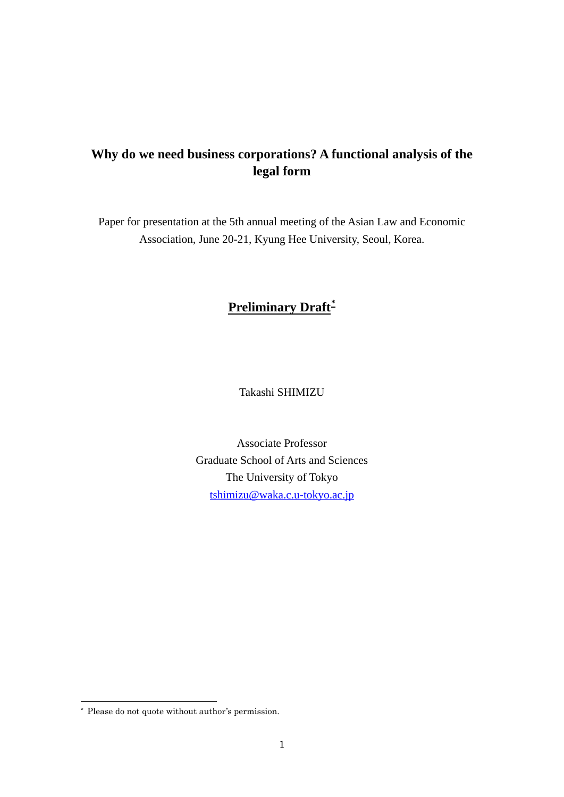# **Why do we need business corporations? A functional analysis of the legal form**

Paper for presentation at the 5th annual meeting of the Asian Law and Economic Association, June 20-21, Kyung Hee University, Seoul, Korea.

## **Preliminary Draft[\\*](#page-0-0)**

Takashi SHIMIZU

Associate Professor Graduate School of Arts and Sciences The University of Tokyo [tshimizu@waka.c.u-tokyo.ac.jp](mailto:tshimizu@waka.c.u-tokyo.ac.jp)

-

<span id="page-0-0"></span><sup>\*</sup> Please do not quote without author's permission.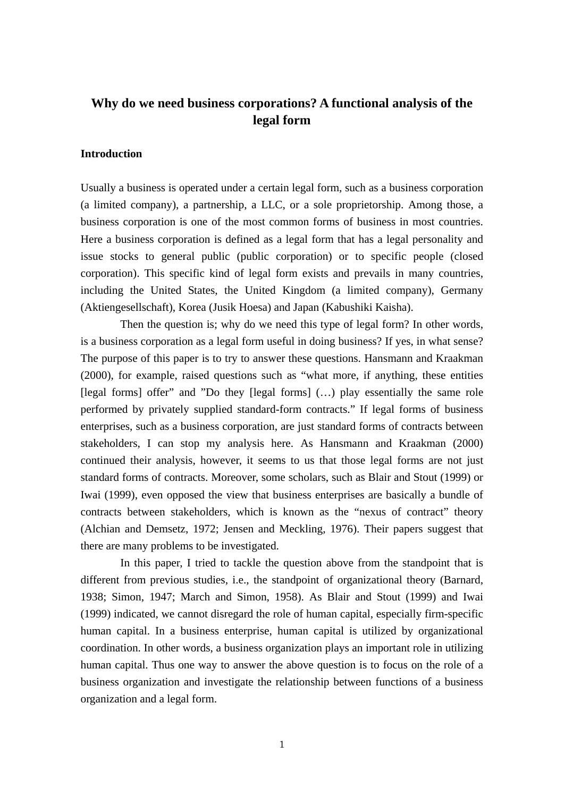### **Why do we need business corporations? A functional analysis of the legal form**

#### **Introduction**

Usually a business is operated under a certain legal form, such as a business corporation (a limited company), a partnership, a LLC, or a sole proprietorship. Among those, a business corporation is one of the most common forms of business in most countries. Here a business corporation is defined as a legal form that has a legal personality and issue stocks to general public (public corporation) or to specific people (closed corporation). This specific kind of legal form exists and prevails in many countries, including the United States, the United Kingdom (a limited company), Germany (Aktiengesellschaft), Korea (Jusik Hoesa) and Japan (Kabushiki Kaisha).

 Then the question is; why do we need this type of legal form? In other words, is a business corporation as a legal form useful in doing business? If yes, in what sense? The purpose of this paper is to try to answer these questions. Hansmann and Kraakman (2000), for example, raised questions such as "what more, if anything, these entities [legal forms] offer" and "Do they [legal forms] (…) play essentially the same role performed by privately supplied standard-form contracts." If legal forms of business enterprises, such as a business corporation, are just standard forms of contracts between stakeholders, I can stop my analysis here. As Hansmann and Kraakman (2000) continued their analysis, however, it seems to us that those legal forms are not just standard forms of contracts. Moreover, some scholars, such as Blair and Stout (1999) or Iwai (1999), even opposed the view that business enterprises are basically a bundle of contracts between stakeholders, which is known as the "nexus of contract" theory (Alchian and Demsetz, 1972; Jensen and Meckling, 1976). Their papers suggest that there are many problems to be investigated.

 In this paper, I tried to tackle the question above from the standpoint that is different from previous studies, i.e., the standpoint of organizational theory (Barnard, 1938; Simon, 1947; March and Simon, 1958). As Blair and Stout (1999) and Iwai (1999) indicated, we cannot disregard the role of human capital, especially firm-specific human capital. In a business enterprise, human capital is utilized by organizational coordination. In other words, a business organization plays an important role in utilizing human capital. Thus one way to answer the above question is to focus on the role of a business organization and investigate the relationship between functions of a business organization and a legal form.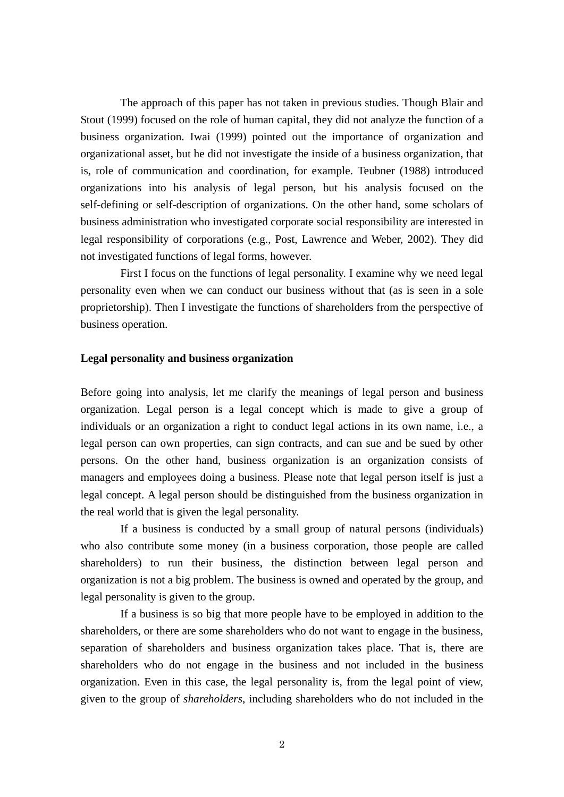The approach of this paper has not taken in previous studies. Though Blair and Stout (1999) focused on the role of human capital, they did not analyze the function of a business organization. Iwai (1999) pointed out the importance of organization and organizational asset, but he did not investigate the inside of a business organization, that is, role of communication and coordination, for example. Teubner (1988) introduced organizations into his analysis of legal person, but his analysis focused on the self-defining or self-description of organizations. On the other hand, some scholars of business administration who investigated corporate social responsibility are interested in legal responsibility of corporations (e.g., Post, Lawrence and Weber, 2002). They did not investigated functions of legal forms, however.

 First I focus on the functions of legal personality. I examine why we need legal personality even when we can conduct our business without that (as is seen in a sole proprietorship). Then I investigate the functions of shareholders from the perspective of business operation.

#### **Legal personality and business organization**

Before going into analysis, let me clarify the meanings of legal person and business organization. Legal person is a legal concept which is made to give a group of individuals or an organization a right to conduct legal actions in its own name, i.e., a legal person can own properties, can sign contracts, and can sue and be sued by other persons. On the other hand, business organization is an organization consists of managers and employees doing a business. Please note that legal person itself is just a legal concept. A legal person should be distinguished from the business organization in the real world that is given the legal personality.

 If a business is conducted by a small group of natural persons (individuals) who also contribute some money (in a business corporation, those people are called shareholders) to run their business, the distinction between legal person and organization is not a big problem. The business is owned and operated by the group, and legal personality is given to the group.

If a business is so big that more people have to be employed in addition to the shareholders, or there are some shareholders who do not want to engage in the business, separation of shareholders and business organization takes place. That is, there are shareholders who do not engage in the business and not included in the business organization. Even in this case, the legal personality is, from the legal point of view, given to the group of *shareholders*, including shareholders who do not included in the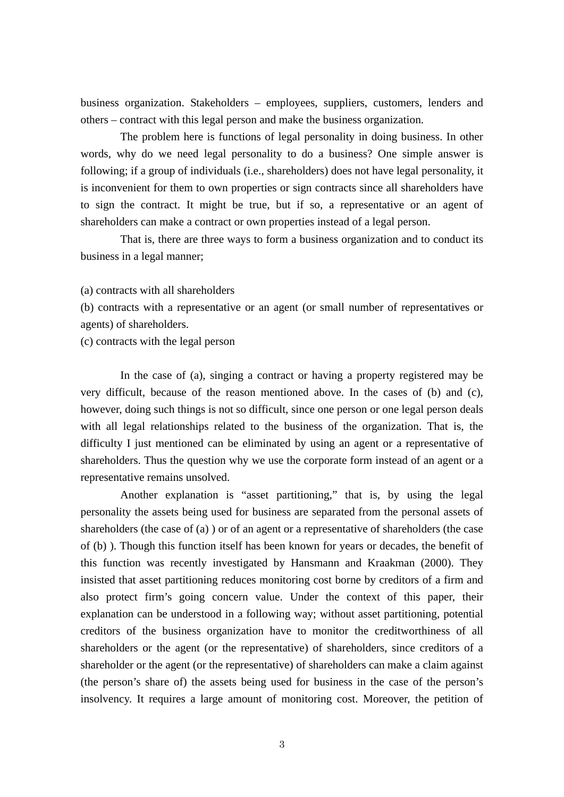business organization. Stakeholders – employees, suppliers, customers, lenders and others – contract with this legal person and make the business organization.

 The problem here is functions of legal personality in doing business. In other words, why do we need legal personality to do a business? One simple answer is following; if a group of individuals (i.e., shareholders) does not have legal personality, it is inconvenient for them to own properties or sign contracts since all shareholders have to sign the contract. It might be true, but if so, a representative or an agent of shareholders can make a contract or own properties instead of a legal person.

That is, there are three ways to form a business organization and to conduct its business in a legal manner;

(a) contracts with all shareholders

(b) contracts with a representative or an agent (or small number of representatives or agents) of shareholders.

(c) contracts with the legal person

In the case of (a), singing a contract or having a property registered may be very difficult, because of the reason mentioned above. In the cases of (b) and (c), however, doing such things is not so difficult, since one person or one legal person deals with all legal relationships related to the business of the organization. That is, the difficulty I just mentioned can be eliminated by using an agent or a representative of shareholders. Thus the question why we use the corporate form instead of an agent or a representative remains unsolved.

Another explanation is "asset partitioning," that is, by using the legal personality the assets being used for business are separated from the personal assets of shareholders (the case of (a) ) or of an agent or a representative of shareholders (the case of (b) ). Though this function itself has been known for years or decades, the benefit of this function was recently investigated by Hansmann and Kraakman (2000). They insisted that asset partitioning reduces monitoring cost borne by creditors of a firm and also protect firm's going concern value. Under the context of this paper, their explanation can be understood in a following way; without asset partitioning, potential creditors of the business organization have to monitor the creditworthiness of all shareholders or the agent (or the representative) of shareholders, since creditors of a shareholder or the agent (or the representative) of shareholders can make a claim against (the person's share of) the assets being used for business in the case of the person's insolvency. It requires a large amount of monitoring cost. Moreover, the petition of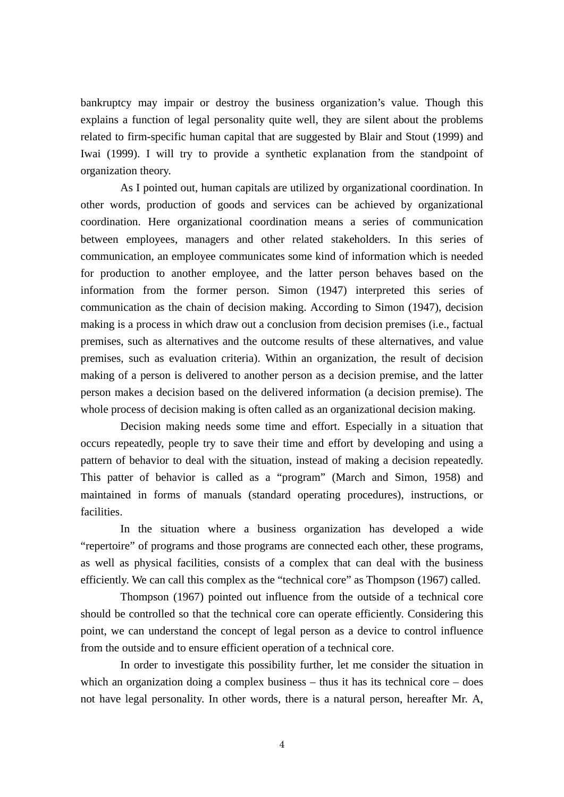bankruptcy may impair or destroy the business organization's value. Though this explains a function of legal personality quite well, they are silent about the problems related to firm-specific human capital that are suggested by Blair and Stout (1999) and Iwai (1999). I will try to provide a synthetic explanation from the standpoint of organization theory.

As I pointed out, human capitals are utilized by organizational coordination. In other words, production of goods and services can be achieved by organizational coordination. Here organizational coordination means a series of communication between employees, managers and other related stakeholders. In this series of communication, an employee communicates some kind of information which is needed for production to another employee, and the latter person behaves based on the information from the former person. Simon (1947) interpreted this series of communication as the chain of decision making. According to Simon (1947), decision making is a process in which draw out a conclusion from decision premises (i.e., factual premises, such as alternatives and the outcome results of these alternatives, and value premises, such as evaluation criteria). Within an organization, the result of decision making of a person is delivered to another person as a decision premise, and the latter person makes a decision based on the delivered information (a decision premise). The whole process of decision making is often called as an organizational decision making.

Decision making needs some time and effort. Especially in a situation that occurs repeatedly, people try to save their time and effort by developing and using a pattern of behavior to deal with the situation, instead of making a decision repeatedly. This patter of behavior is called as a "program" (March and Simon, 1958) and maintained in forms of manuals (standard operating procedures), instructions, or facilities.

In the situation where a business organization has developed a wide "repertoire" of programs and those programs are connected each other, these programs, as well as physical facilities, consists of a complex that can deal with the business efficiently. We can call this complex as the "technical core" as Thompson (1967) called.

Thompson (1967) pointed out influence from the outside of a technical core should be controlled so that the technical core can operate efficiently. Considering this point, we can understand the concept of legal person as a device to control influence from the outside and to ensure efficient operation of a technical core.

In order to investigate this possibility further, let me consider the situation in which an organization doing a complex business – thus it has its technical core – does not have legal personality. In other words, there is a natural person, hereafter Mr. A,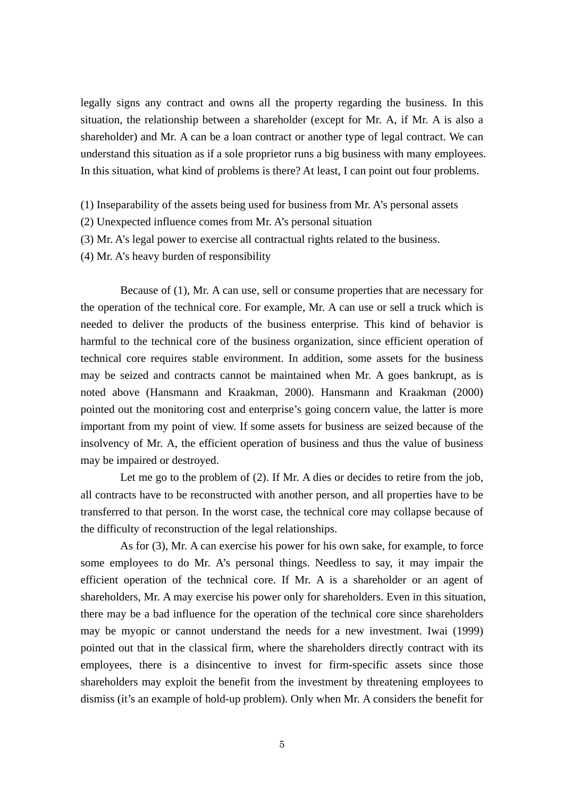legally signs any contract and owns all the property regarding the business. In this situation, the relationship between a shareholder (except for Mr. A, if Mr. A is also a shareholder) and Mr. A can be a loan contract or another type of legal contract. We can understand this situation as if a sole proprietor runs a big business with many employees. In this situation, what kind of problems is there? At least, I can point out four problems.

- (1) Inseparability of the assets being used for business from Mr. A's personal assets
- (2) Unexpected influence comes from Mr. A's personal situation
- (3) Mr. A's legal power to exercise all contractual rights related to the business.
- (4) Mr. A's heavy burden of responsibility

Because of (1), Mr. A can use, sell or consume properties that are necessary for the operation of the technical core. For example, Mr. A can use or sell a truck which is needed to deliver the products of the business enterprise. This kind of behavior is harmful to the technical core of the business organization, since efficient operation of technical core requires stable environment. In addition, some assets for the business may be seized and contracts cannot be maintained when Mr. A goes bankrupt, as is noted above (Hansmann and Kraakman, 2000). Hansmann and Kraakman (2000) pointed out the monitoring cost and enterprise's going concern value, the latter is more important from my point of view. If some assets for business are seized because of the insolvency of Mr. A, the efficient operation of business and thus the value of business may be impaired or destroyed.

Let me go to the problem of (2). If Mr. A dies or decides to retire from the job, all contracts have to be reconstructed with another person, and all properties have to be transferred to that person. In the worst case, the technical core may collapse because of the difficulty of reconstruction of the legal relationships.

As for (3), Mr. A can exercise his power for his own sake, for example, to force some employees to do Mr. A's personal things. Needless to say, it may impair the efficient operation of the technical core. If Mr. A is a shareholder or an agent of shareholders, Mr. A may exercise his power only for shareholders. Even in this situation, there may be a bad influence for the operation of the technical core since shareholders may be myopic or cannot understand the needs for a new investment. Iwai (1999) pointed out that in the classical firm, where the shareholders directly contract with its employees, there is a disincentive to invest for firm-specific assets since those shareholders may exploit the benefit from the investment by threatening employees to dismiss (it's an example of hold-up problem). Only when Mr. A considers the benefit for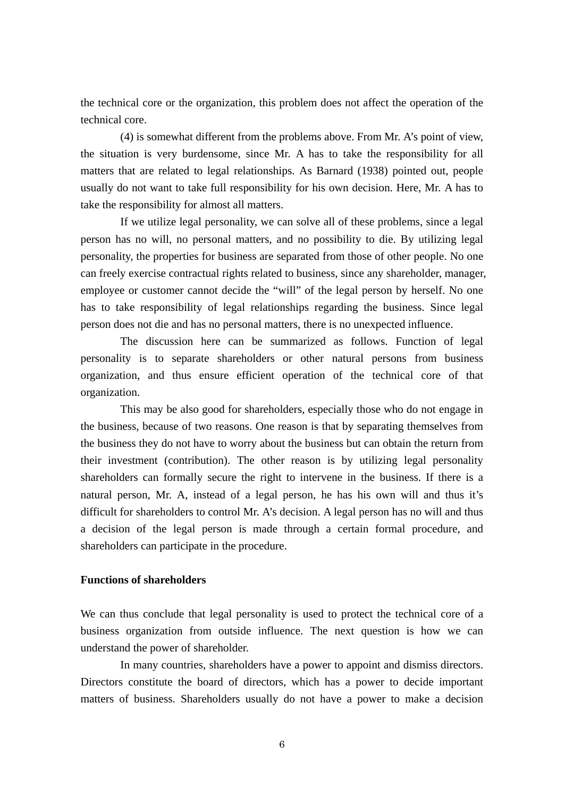the technical core or the organization, this problem does not affect the operation of the technical core.

(4) is somewhat different from the problems above. From Mr. A's point of view, the situation is very burdensome, since Mr. A has to take the responsibility for all matters that are related to legal relationships. As Barnard (1938) pointed out, people usually do not want to take full responsibility for his own decision. Here, Mr. A has to take the responsibility for almost all matters.

 If we utilize legal personality, we can solve all of these problems, since a legal person has no will, no personal matters, and no possibility to die. By utilizing legal personality, the properties for business are separated from those of other people. No one can freely exercise contractual rights related to business, since any shareholder, manager, employee or customer cannot decide the "will" of the legal person by herself. No one has to take responsibility of legal relationships regarding the business. Since legal person does not die and has no personal matters, there is no unexpected influence.

 The discussion here can be summarized as follows. Function of legal personality is to separate shareholders or other natural persons from business organization, and thus ensure efficient operation of the technical core of that organization.

 This may be also good for shareholders, especially those who do not engage in the business, because of two reasons. One reason is that by separating themselves from the business they do not have to worry about the business but can obtain the return from their investment (contribution). The other reason is by utilizing legal personality shareholders can formally secure the right to intervene in the business. If there is a natural person, Mr. A, instead of a legal person, he has his own will and thus it's difficult for shareholders to control Mr. A's decision. A legal person has no will and thus a decision of the legal person is made through a certain formal procedure, and shareholders can participate in the procedure.

#### **Functions of shareholders**

We can thus conclude that legal personality is used to protect the technical core of a business organization from outside influence. The next question is how we can understand the power of shareholder.

 In many countries, shareholders have a power to appoint and dismiss directors. Directors constitute the board of directors, which has a power to decide important matters of business. Shareholders usually do not have a power to make a decision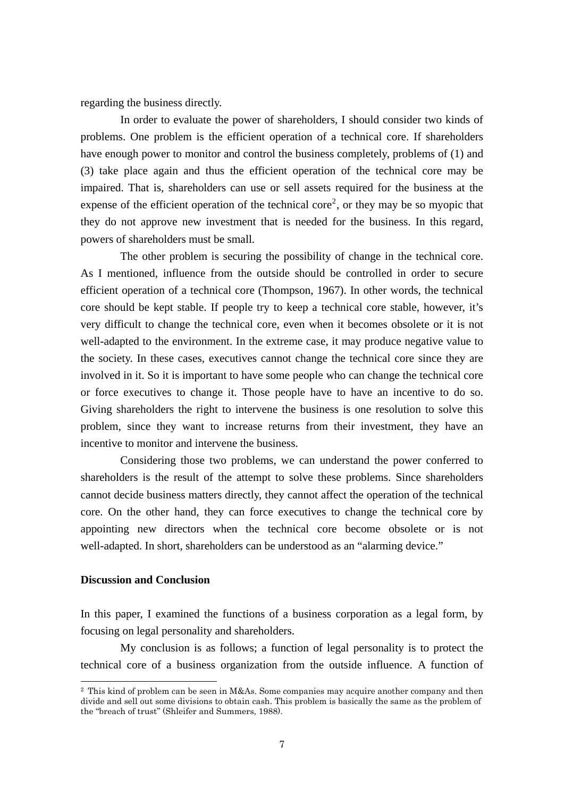regarding the business directly.

 In order to evaluate the power of shareholders, I should consider two kinds of problems. One problem is the efficient operation of a technical core. If shareholders have enough power to monitor and control the business completely, problems of (1) and (3) take place again and thus the efficient operation of the technical core may be impaired. That is, shareholders can use or sell assets required for the business at the expense of the efficient operation of the technical core<sup>[2](#page-7-0)</sup>, or they may be so myopic that they do not approve new investment that is needed for the business. In this regard, powers of shareholders must be small.

 The other problem is securing the possibility of change in the technical core. As I mentioned, influence from the outside should be controlled in order to secure efficient operation of a technical core (Thompson, 1967). In other words, the technical core should be kept stable. If people try to keep a technical core stable, however, it's very difficult to change the technical core, even when it becomes obsolete or it is not well-adapted to the environment. In the extreme case, it may produce negative value to the society. In these cases, executives cannot change the technical core since they are involved in it. So it is important to have some people who can change the technical core or force executives to change it. Those people have to have an incentive to do so. Giving shareholders the right to intervene the business is one resolution to solve this problem, since they want to increase returns from their investment, they have an incentive to monitor and intervene the business.

 Considering those two problems, we can understand the power conferred to shareholders is the result of the attempt to solve these problems. Since shareholders cannot decide business matters directly, they cannot affect the operation of the technical core. On the other hand, they can force executives to change the technical core by appointing new directors when the technical core become obsolete or is not well-adapted. In short, shareholders can be understood as an "alarming device."

### **Discussion and Conclusion**

-

In this paper, I examined the functions of a business corporation as a legal form, by focusing on legal personality and shareholders.

My conclusion is as follows; a function of legal personality is to protect the technical core of a business organization from the outside influence. A function of

<span id="page-7-0"></span><sup>2</sup> This kind of problem can be seen in M&As. Some companies may acquire another company and then divide and sell out some divisions to obtain cash. This problem is basically the same as the problem of the "breach of trust" (Shleifer and Summers, 1988).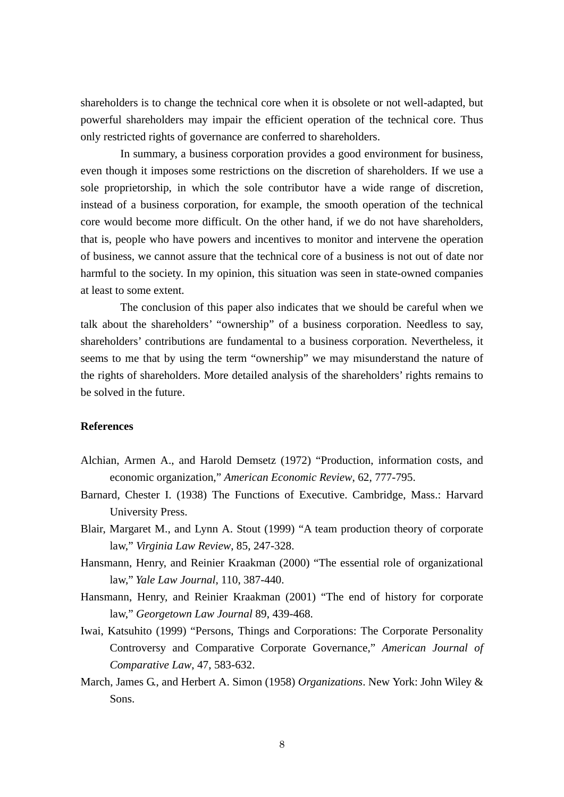shareholders is to change the technical core when it is obsolete or not well-adapted, but powerful shareholders may impair the efficient operation of the technical core. Thus only restricted rights of governance are conferred to shareholders.

In summary, a business corporation provides a good environment for business, even though it imposes some restrictions on the discretion of shareholders. If we use a sole proprietorship, in which the sole contributor have a wide range of discretion, instead of a business corporation, for example, the smooth operation of the technical core would become more difficult. On the other hand, if we do not have shareholders, that is, people who have powers and incentives to monitor and intervene the operation of business, we cannot assure that the technical core of a business is not out of date nor harmful to the society. In my opinion, this situation was seen in state-owned companies at least to some extent.

The conclusion of this paper also indicates that we should be careful when we talk about the shareholders' "ownership" of a business corporation. Needless to say, shareholders' contributions are fundamental to a business corporation. Nevertheless, it seems to me that by using the term "ownership" we may misunderstand the nature of the rights of shareholders. More detailed analysis of the shareholders' rights remains to be solved in the future.

#### **References**

- Alchian, Armen A., and Harold Demsetz (1972) "Production, information costs, and economic organization," *American Economic Review*, 62, 777-795.
- Barnard, Chester I. (1938) The Functions of Executive. Cambridge, Mass.: Harvard University Press.
- Blair, Margaret M., and Lynn A. Stout (1999) "A team production theory of corporate law," *Virginia Law Review*, 85, 247-328.
- Hansmann, Henry, and Reinier Kraakman (2000) "The essential role of organizational law," *Yale Law Journal*, 110, 387-440.
- Hansmann, Henry, and Reinier Kraakman (2001) "The end of history for corporate law," *Georgetown Law Journal* 89, 439-468.
- Iwai, Katsuhito (1999) "Persons, Things and Corporations: The Corporate Personality Controversy and Comparative Corporate Governance," *American Journal of Comparative Law*, 47, 583-632.
- March, James G., and Herbert A. Simon (1958) *Organizations*. New York: John Wiley & Sons.